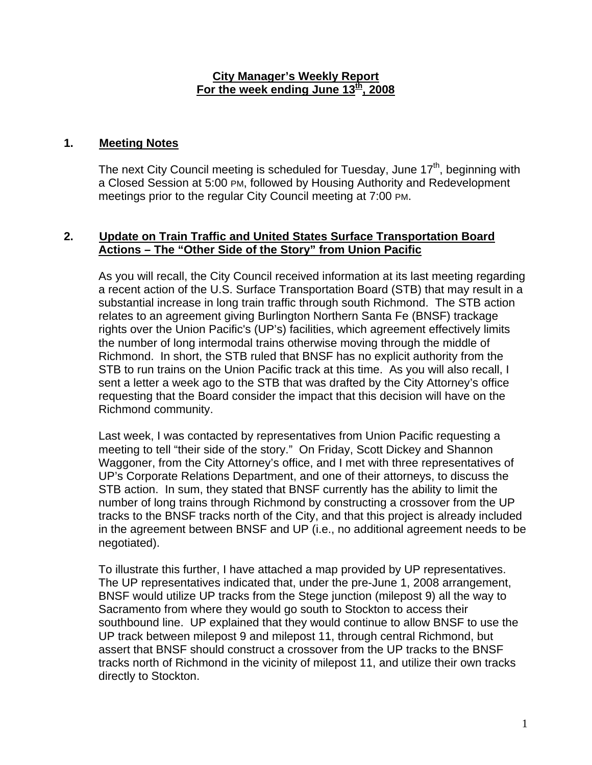#### **City Manager's Weekly Report** For the week ending June 13<sup>th</sup>, 2008

#### **1. Meeting Notes**

The next City Council meeting is scheduled for Tuesday, June 17<sup>th</sup>, beginning with a Closed Session at 5:00 PM, followed by Housing Authority and Redevelopment meetings prior to the regular City Council meeting at 7:00 PM.

#### **2. Update on Train Traffic and United States Surface Transportation Board Actions – The "Other Side of the Story" from Union Pacific**

As you will recall, the City Council received information at its last meeting regarding a recent action of the U.S. Surface Transportation Board (STB) that may result in a substantial increase in long train traffic through south Richmond. The STB action relates to an agreement giving Burlington Northern Santa Fe (BNSF) trackage rights over the Union Pacific's (UP's) facilities, which agreement effectively limits the number of long intermodal trains otherwise moving through the middle of Richmond. In short, the STB ruled that BNSF has no explicit authority from the STB to run trains on the Union Pacific track at this time. As you will also recall, I sent a letter a week ago to the STB that was drafted by the City Attorney's office requesting that the Board consider the impact that this decision will have on the Richmond community.

Last week, I was contacted by representatives from Union Pacific requesting a meeting to tell "their side of the story." On Friday, Scott Dickey and Shannon Waggoner, from the City Attorney's office, and I met with three representatives of UP's Corporate Relations Department, and one of their attorneys, to discuss the STB action. In sum, they stated that BNSF currently has the ability to limit the number of long trains through Richmond by constructing a crossover from the UP tracks to the BNSF tracks north of the City, and that this project is already included in the agreement between BNSF and UP (i.e., no additional agreement needs to be negotiated).

To illustrate this further, I have attached a map provided by UP representatives. The UP representatives indicated that, under the pre-June 1, 2008 arrangement, BNSF would utilize UP tracks from the Stege junction (milepost 9) all the way to Sacramento from where they would go south to Stockton to access their southbound line. UP explained that they would continue to allow BNSF to use the UP track between milepost 9 and milepost 11, through central Richmond, but assert that BNSF should construct a crossover from the UP tracks to the BNSF tracks north of Richmond in the vicinity of milepost 11, and utilize their own tracks directly to Stockton.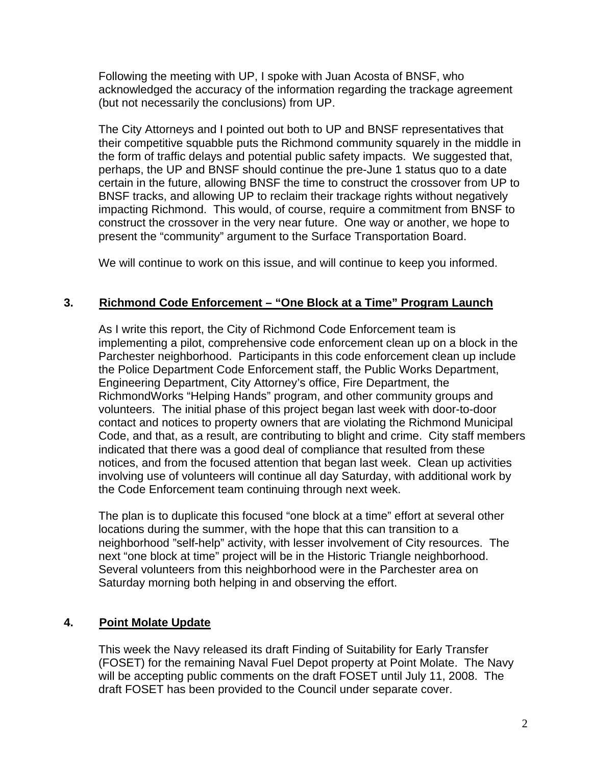Following the meeting with UP, I spoke with Juan Acosta of BNSF, who acknowledged the accuracy of the information regarding the trackage agreement (but not necessarily the conclusions) from UP.

The City Attorneys and I pointed out both to UP and BNSF representatives that their competitive squabble puts the Richmond community squarely in the middle in the form of traffic delays and potential public safety impacts. We suggested that, perhaps, the UP and BNSF should continue the pre-June 1 status quo to a date certain in the future, allowing BNSF the time to construct the crossover from UP to BNSF tracks, and allowing UP to reclaim their trackage rights without negatively impacting Richmond. This would, of course, require a commitment from BNSF to construct the crossover in the very near future. One way or another, we hope to present the "community" argument to the Surface Transportation Board.

We will continue to work on this issue, and will continue to keep you informed.

## **3. Richmond Code Enforcement – "One Block at a Time" Program Launch**

As I write this report, the City of Richmond Code Enforcement team is implementing a pilot, comprehensive code enforcement clean up on a block in the Parchester neighborhood. Participants in this code enforcement clean up include the Police Department Code Enforcement staff, the Public Works Department, Engineering Department, City Attorney's office, Fire Department, the RichmondWorks "Helping Hands" program, and other community groups and volunteers. The initial phase of this project began last week with door-to-door contact and notices to property owners that are violating the Richmond Municipal Code, and that, as a result, are contributing to blight and crime. City staff members indicated that there was a good deal of compliance that resulted from these notices, and from the focused attention that began last week. Clean up activities involving use of volunteers will continue all day Saturday, with additional work by the Code Enforcement team continuing through next week.

The plan is to duplicate this focused "one block at a time" effort at several other locations during the summer, with the hope that this can transition to a neighborhood "self-help" activity, with lesser involvement of City resources. The next "one block at time" project will be in the Historic Triangle neighborhood. Several volunteers from this neighborhood were in the Parchester area on Saturday morning both helping in and observing the effort.

## **4. Point Molate Update**

This week the Navy released its draft Finding of Suitability for Early Transfer (FOSET) for the remaining Naval Fuel Depot property at Point Molate. The Navy will be accepting public comments on the draft FOSET until July 11, 2008. The draft FOSET has been provided to the Council under separate cover.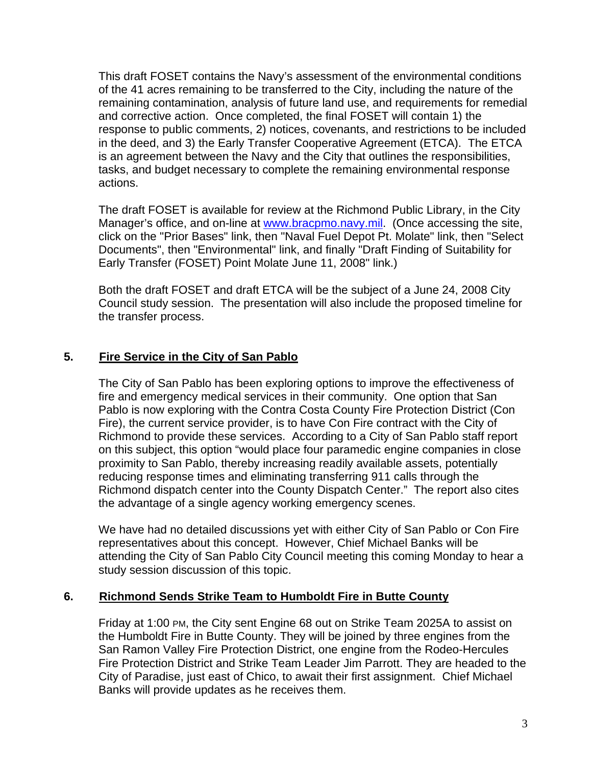This draft FOSET contains the Navy's assessment of the environmental conditions of the 41 acres remaining to be transferred to the City, including the nature of the remaining contamination, analysis of future land use, and requirements for remedial and corrective action. Once completed, the final FOSET will contain 1) the response to public comments, 2) notices, covenants, and restrictions to be included in the deed, and 3) the Early Transfer Cooperative Agreement (ETCA). The ETCA is an agreement between the Navy and the City that outlines the responsibilities, tasks, and budget necessary to complete the remaining environmental response actions.

The draft FOSET is available for review at the Richmond Public Library, in the City Manager's office, and on-line at www.bracpmo.navy.mil. (Once accessing the site, click on the "Prior Bases" link, then "Naval Fuel Depot Pt. Molate" link, then "Select Documents", then "Environmental" link, and finally "Draft Finding of Suitability for Early Transfer (FOSET) Point Molate June 11, 2008" link.)

Both the draft FOSET and draft ETCA will be the subject of a June 24, 2008 City Council study session. The presentation will also include the proposed timeline for the transfer process.

# **5. Fire Service in the City of San Pablo**

The City of San Pablo has been exploring options to improve the effectiveness of fire and emergency medical services in their community. One option that San Pablo is now exploring with the Contra Costa County Fire Protection District (Con Fire), the current service provider, is to have Con Fire contract with the City of Richmond to provide these services. According to a City of San Pablo staff report on this subject, this option "would place four paramedic engine companies in close proximity to San Pablo, thereby increasing readily available assets, potentially reducing response times and eliminating transferring 911 calls through the Richmond dispatch center into the County Dispatch Center." The report also cites the advantage of a single agency working emergency scenes.

We have had no detailed discussions yet with either City of San Pablo or Con Fire representatives about this concept. However, Chief Michael Banks will be attending the City of San Pablo City Council meeting this coming Monday to hear a study session discussion of this topic.

## **6. Richmond Sends Strike Team to Humboldt Fire in Butte County**

Friday at 1:00 PM, the City sent Engine 68 out on Strike Team 2025A to assist on the Humboldt Fire in Butte County. They will be joined by three engines from the San Ramon Valley Fire Protection District, one engine from the Rodeo-Hercules Fire Protection District and Strike Team Leader Jim Parrott. They are headed to the City of Paradise, just east of Chico, to await their first assignment. Chief Michael Banks will provide updates as he receives them.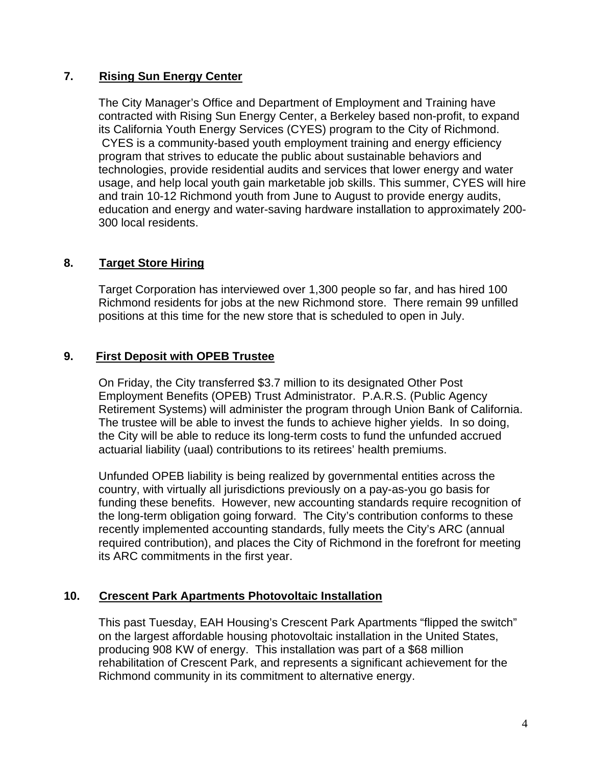#### **7. Rising Sun Energy Center**

The City Manager's Office and Department of Employment and Training have contracted with Rising Sun Energy Center, a Berkeley based non-profit, to expand its California Youth Energy Services (CYES) program to the City of Richmond. CYES is a community-based youth employment training and energy efficiency program that strives to educate the public about sustainable behaviors and technologies, provide residential audits and services that lower energy and water usage, and help local youth gain marketable job skills. This summer, CYES will hire and train 10-12 Richmond youth from June to August to provide energy audits, education and energy and water-saving hardware installation to approximately 200- 300 local residents.

# **8. Target Store Hiring**

Target Corporation has interviewed over 1,300 people so far, and has hired 100 Richmond residents for jobs at the new Richmond store. There remain 99 unfilled positions at this time for the new store that is scheduled to open in July.

## **9. First Deposit with OPEB Trustee**

On Friday, the City transferred \$3.7 million to its designated Other Post Employment Benefits (OPEB) Trust Administrator. P.A.R.S. (Public Agency Retirement Systems) will administer the program through Union Bank of California. The trustee will be able to invest the funds to achieve higher yields. In so doing, the City will be able to reduce its long-term costs to fund the unfunded accrued actuarial liability (uaal) contributions to its retirees' health premiums.

Unfunded OPEB liability is being realized by governmental entities across the country, with virtually all jurisdictions previously on a pay-as-you go basis for funding these benefits. However, new accounting standards require recognition of the long-term obligation going forward. The City's contribution conforms to these recently implemented accounting standards, fully meets the City's ARC (annual required contribution), and places the City of Richmond in the forefront for meeting its ARC commitments in the first year.

## **10. Crescent Park Apartments Photovoltaic Installation**

This past Tuesday, EAH Housing's Crescent Park Apartments "flipped the switch" on the largest affordable housing photovoltaic installation in the United States, producing 908 KW of energy. This installation was part of a \$68 million rehabilitation of Crescent Park, and represents a significant achievement for the Richmond community in its commitment to alternative energy.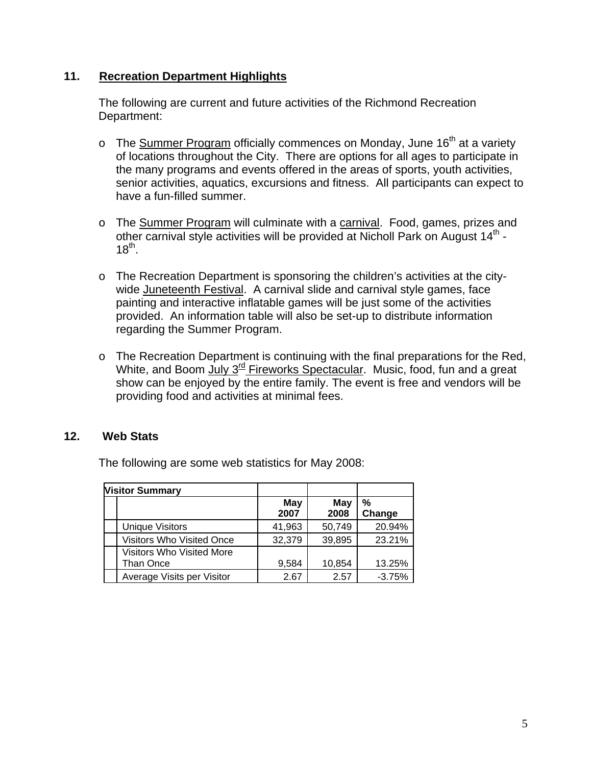#### **11. Recreation Department Highlights**

The following are current and future activities of the Richmond Recreation Department:

- $\circ$  The Summer Program officially commences on Monday, June 16<sup>th</sup> at a variety of locations throughout the City. There are options for all ages to participate in the many programs and events offered in the areas of sports, youth activities, senior activities, aquatics, excursions and fitness. All participants can expect to have a fun-filled summer.
- o The Summer Program will culminate with a carnival. Food, games, prizes and other carnival style activities will be provided at Nicholl Park on August 14<sup>th</sup> - $18^{th}$ .
- o The Recreation Department is sponsoring the children's activities at the citywide Juneteenth Festival. A carnival slide and carnival style games, face painting and interactive inflatable games will be just some of the activities provided. An information table will also be set-up to distribute information regarding the Summer Program.
- o The Recreation Department is continuing with the final preparations for the Red, White, and Boom July  $3^{rd}$  Fireworks Spectacular. Music, food, fun and a great show can be enjoyed by the entire family. The event is free and vendors will be providing food and activities at minimal fees.

## **12. Web Stats**

| <b>Visitor Summary</b>                 |             |             |             |
|----------------------------------------|-------------|-------------|-------------|
|                                        | May<br>2007 | May<br>2008 | %<br>Change |
| Unique Visitors                        | 41,963      | 50,749      | 20.94%      |
| <b>Visitors Who Visited Once</b>       | 32,379      | 39,895      | 23.21%      |
| Visitors Who Visited More<br>Than Once | 9,584       | 10,854      | 13.25%      |
| Average Visits per Visitor             | 2.67        | 2.57        | $-3.75%$    |

The following are some web statistics for May 2008: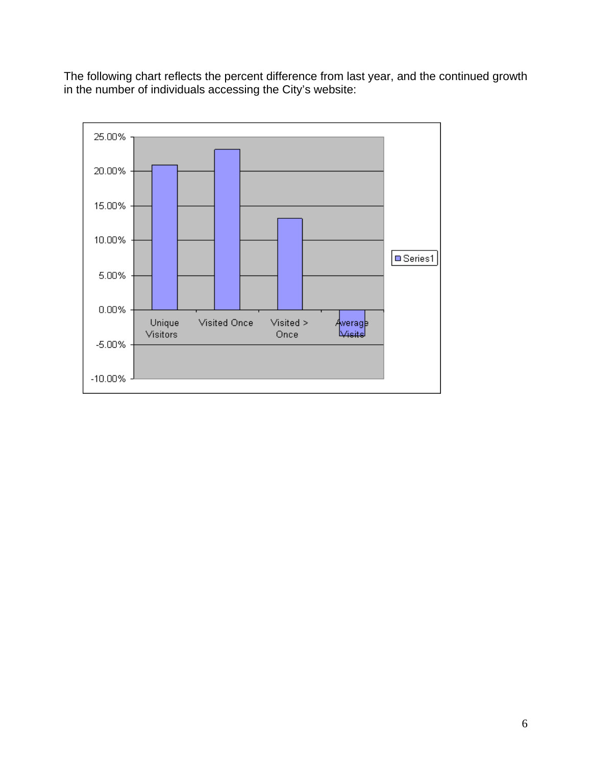The following chart reflects the percent difference from last year, and the continued growth in the number of individuals accessing the City's website: